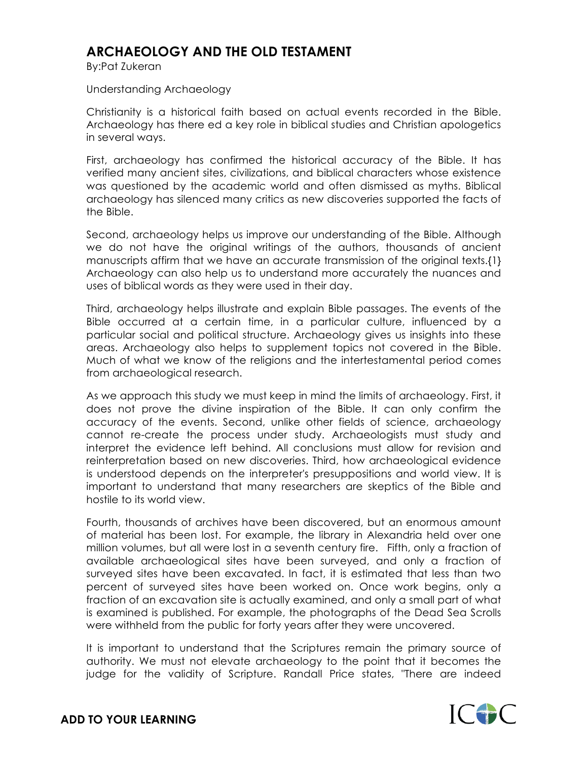## **ARCHAEOLOGY AND THE OLD TESTAMENT**

By:Pat Zukeran

## Understanding Archaeology

Christianity is a historical faith based on actual events recorded in the Bible. Archaeology has there ed a key role in biblical studies and Christian apologetics in several ways.

First, archaeology has confirmed the historical accuracy of the Bible. It has verified many ancient sites, civilizations, and biblical characters whose existence was questioned by the academic world and often dismissed as myths. Biblical archaeology has silenced many critics as new discoveries supported the facts of the Bible.

Second, archaeology helps us improve our understanding of the Bible. Although we do not have the original writings of the authors, thousands of ancient manuscripts affirm that we have an accurate transmission of the original texts.{1} Archaeology can also help us to understand more accurately the nuances and uses of biblical words as they were used in their day.

Third, archaeology helps illustrate and explain Bible passages. The events of the Bible occurred at a certain time, in a particular culture, influenced by a particular social and political structure. Archaeology gives us insights into these areas. Archaeology also helps to supplement topics not covered in the Bible. Much of what we know of the religions and the intertestamental period comes from archaeological research.

As we approach this study we must keep in mind the limits of archaeology. First, it does not prove the divine inspiration of the Bible. It can only confirm the accuracy of the events. Second, unlike other fields of science, archaeology cannot re-create the process under study. Archaeologists must study and interpret the evidence left behind. All conclusions must allow for revision and reinterpretation based on new discoveries. Third, how archaeological evidence is understood depends on the interpreter's presuppositions and world view. It is important to understand that many researchers are skeptics of the Bible and hostile to its world view.

Fourth, thousands of archives have been discovered, but an enormous amount of material has been lost. For example, the library in Alexandria held over one million volumes, but all were lost in a seventh century fire. Fifth, only a fraction of available archaeological sites have been surveyed, and only a fraction of surveyed sites have been excavated. In fact, it is estimated that less than two percent of surveyed sites have been worked on. Once work begins, only a fraction of an excavation site is actually examined, and only a small part of what is examined is published. For example, the photographs of the Dead Sea Scrolls were withheld from the public for forty years after they were uncovered.

It is important to understand that the Scriptures remain the primary source of authority. We must not elevate archaeology to the point that it becomes the judge for the validity of Scripture. Randall Price states, "There are indeed